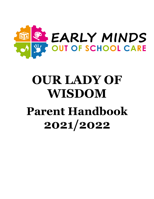

# **OUR LADY OF WISDOM Parent Handbook 2021/2022**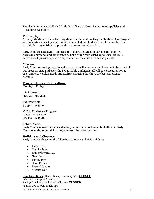Thank you for choosing Early Minds Out of School Care. Below are our policies and procedures we follow.

#### **Philosophy:**

At Early Minds we believe learning should be fun and exciting for children. Our program will be a safe and caring environment that will allow children to explore new learning capabilities, create friendships, and most importantly have fun.

Early Minds uses activities and lessons that are designed to develop and improve physical, emotional and other sensory skills, while reinforcing good social skills. All activities will provide a positive experience for the children and the parents.

#### **Mission:**

Early Minds offers high quality child care that will have your child excited to be a part of our program each and every day! Our highly qualified staff will pay close attention to each and every child's needs and desires, ensuring they have the best experience possible.

#### **Program Hours of Operations:**

Monday – Friday

*AM Program:* 7:00am – 9:00am

*PM Program:* 3:35pm – 5:45pm

½ Day Kindercare Program: 7:00am – 12:47pm 3:35pm – 5:45pm

#### **School Year:**

Early Minds follows the same calendar year as the school your child attends. Early Minds operates on most P.D. Days unless otherwise specified.

#### **Holidays and Closures:**

Early Minds is closed on the following statutory and civic holidays:

- Labour Day
- Thanksgiving
- Remembrance Day
- New Years
- Family Day
- Good Friday
- Easter Monday
- Victoria Day

Christmas Break (December 17 - January 3) – **CLOSED** *\*Dates are subject to change* Spring Break – (April 15 –April 22) – **CLOSED** *\*Dates are subject to change*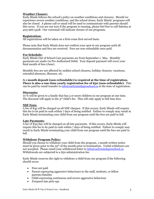## **Weather Closure:**

Early Minds follows the school's policy on weather conditions and closures. Should we experience severe weather conditions, and the school closes, Early Minds' programs will also be closed. A phone call or email will be used to communicate with parents should this occur. If you are not sure if the program is running, please feel free to call Sabrina at 403-966-5328. Our voicemail will indicate closure of our programs.

#### **Registration:**

All registrations will be taken on a first-come first-served basis.

Please note that Early Minds does not confirm your spot in our program until all documentation and fees are received. Fees are non-refundable once paid.

#### **Fee Schedule:**

Early Minds Out of School Care payments are from September 1- May. Monthly payments are made via Pre-Authorized Debit. Your deposit payment will cover your final month of fees (June).

Monthly fees are not affected by sudden school closures, holiday closures, vacations, extended absences, illnesses, etc.

**A 1 month deposit (non-refundable) is required at the time of registration. There is also a one-time yearly registration fee of \$50 (non-refundable).** This can be paid by email transfer to info@earlymindspreschool.ca at the time of registration.

#### **Discounts:**

10 % will be given to a family that has 3 or more children in our program at one time. The discount will apply to the 3<sup>rd</sup> child's fee. This will only apply to full time fees.

#### **NSF Fees:**

A fee of \$35 will be charged on all NSF cheques. If this occurs, Early Minds will require this fee to be paid in cash within 7 days of being notified. Failure to comply may result in Early Minds terminating your child from our program until the fees are paid in full.

#### **Late Payments:**

A fee of \$35/day will be charged on all late payments. If this occurs, Early Minds will require this fee to be paid in cash within 7 days of being notified. Failure to comply may result in Early Minds terminating your child from our program until the fees are paid in full.

## **Withdraw Program Policy:**

Should you choose to withdraw your child from the program, 1 month written notice must be given prior to the 25th of the month prior to termination. Verbal withdraws are not accepted. Please email your withdrawal letter to info@earlymindspreschool.ca. Withdrawals are subjected to a \$50 administration fee.

Early Minds reserves the right to withdraw a child from our program if the following should occur:

- Fees not paid
- Parent expressing aggressive behaviours to the staff, students, or fellow parents/families
- Child expressing continuous and severe aggressive behaviour
- Frequent late pick-ups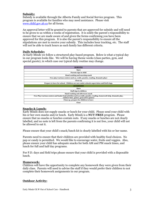# **Subsidy:**

Subsidy is available through the Alberta Family and Social Service program. This program is available for families who may need assistance. Please visit www.child.gov.ab.ca for all forms.

An approval letter will be granted to parents that are approved for subsidy and will need to be given to us within 2 weeks of registration. It is solely the parent's responsibility to ensure that we are made aware of and given the forms confirming you have been approved for this program. It is also the parent's responsibility to ensure all the stipulations are met to receive your subsidy. This includes hour tracking, etc. The staff will not be able to track hours as each family has different criteria.

## **Daily Schedule:**

At Early Minds we follow a structured play-based program. Below is what a typical day in our program looks like. We will be having theme weeks (class parties, gym, and special guests), in which case our typical daily routine may change.

| <b>MORNING</b>                                                                                                                                                  |
|-----------------------------------------------------------------------------------------------------------------------------------------------------------------|
| <b>Open</b>                                                                                                                                                     |
| Parents sign in child                                                                                                                                           |
| Hand washing and morning snack                                                                                                                                  |
| Free play (various centers such as, crafts, puzzles, reading, dramatic play)                                                                                    |
| Clean up                                                                                                                                                        |
| Prepare to leave for school. Children are now under schools supervision until bell rings.                                                                       |
| <b>AFTERNOON</b>                                                                                                                                                |
| Open                                                                                                                                                            |
| Staff sign in children                                                                                                                                          |
| Hand washing and afternoon snack                                                                                                                                |
| Free Play (various centers and leader lead activities such as crafts, puzzles, reading, homework help, dramatic play,<br>outdoor time, games, gym/active games) |
| Clean up, prepare for children to leave                                                                                                                         |
| Close                                                                                                                                                           |

#### **Snacks & Lunch:**

Early Minds does not supply snacks or lunch for your child. Please send your child with his or her own snacks and/or lunch. Early Minds is a **NUT FREE** program. Please ensure that no snacks or lunches contain nuts. If any snacks or lunches are not clearly labelled, and no note is left from the parents confirming it is nut free, your child will not be allowed to eat it.

Please ensure that your child's snack/lunch kit is clearly labelled with his or her name.

Parents need to ensure that their children are provided with healthy food choices. No pop or candy is permitted. We would like to encourage water, fruits and veggies. Also, please ensure your child has adequate snacks for both AM and PM snack times, and lunch for full and half day programs.

For P.D. days and field trips please ensure that your child is provided with a disposable lunch.

#### **Homework:**

Children will have the opportunity to complete any homework they were given from their daily class. Parents will need to advise the staff if they would prefer their children to not complete their homework assignments in our program.

## **Outdoor Activity:**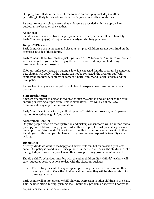Our program will allow for the children to have outdoor play each day (weather permitting). Early Minds follows the school's policy on weather conditions.

Parents are responsible to ensure that children are provided with the appropriate outdoor attire based on the weather.

#### **Absences:**

Should a child be absent from the program or arrive late, parents will need to notify Early Minds at 403-992-8144 or email at earlyminds.olw@gmail.com

## **Drop off/Pick up:**

Early Minds is open at 7:ooam and closes at 5:45pm. Children are not permitted on the premises outside of these hours.

Early Minds will not tolerate late pick-ups. A fee of \$25 for every 10 minutes you are late will be charged to you. Failure to pay the late fee may result in your child being terminated from our program.

If for any unforeseen reason a parent is late, it is expected that the program be contacted. Late charges will apply. If the parents can not be contacted, the program staff will contact the emergency contacts or contact Alberta Family and Social Services and the local police.

Failure to abide by our above policy could lead to suspension or termination in our program.

#### **Sign In/Sign out:**

A parent or authorized person is required to sign the child in and out prior to the child entering or leaving our program. This is mandatory. This will also allow us to communicate any important information.

Early Minds is not liable for any child dropped off outside our program, or if a person has not followed our sign in/out policy.

## **Authorized People:**

Only the people listed on the registration and pick up consent form will be authorized to pick up your child from our program. All authorized people must present a government issued picture ID for the staff to verify with the file in order to release the child to them. Should your authorized people change at anytime you are responsible to notify us in writing.

## **Discipline:**

At Early Minds we want to see happy and active children, but on occasion problems arise. Our policy is based on self-discipline. Our teachers will assist the children to take the right steps to solve the problem on their own, providing positive reinforcement.

Should a child's behaviour interfere with the other children, Early Minds' teachers will carry out other positive actions to deal with the situation, such as:

• Redirecting the child to a quiet space, providing them with a book, or another calming activity. Once the child has calmed down they will be able to return to the class activity.

Early Minds will not tolerate any child showing aggression to other children in the class. This includes biting, hitting, pushing, etc. Should this problem arise, we will notify the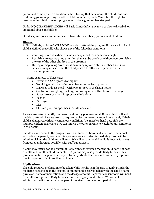parent and come up with a solution on how to stop that behaviour. If a child continues to show aggression, putting the other children in harm, Early Minds has the right to terminate that child from our program until the aggression has stopped.

Under **NO CIRCUMSTANCES** will Early Minds inflict any form of physical, verbal, or emotional abuse on children.

Our discipline policy is communicated to all staff members, parents, and children.

## **Illness:**

At Early Minds, children **WILL NOT** be able to attend the program if they are ill. An ill child is defined as a child who shows any of the following symptoms:

- Vomiting, fever, diarrhea, or a new unexplained rash or severe cough
- Requiring greater care and attention than can be provided without compromising the care of the other children in the program
- Having or displaying any other illness or symptom a staff member knows (or believes) may indicate that the child poses a health risk to persons on the program premises

Some examples of illness are:

- Fevers of 37.5 degrees C or higher
- Vomiting with two of more episodes in the last 24 hours
- Diarrhea or loose stool with two or more in the last 4 hours
- Continuous coughing, hacking, and runny nose with coloured discharge
- Strep throat or other Streptococcal infections
- Rashes
- Pink eye
- Lice
- Chicken pox, mumps, measles, influenza, etc.

Parents are asked to notify the program either by phone or email if their child is ill and unable to attend. Parents are also required to let the program know immediately if their child is diagnosed with any contagious conditions (i.e. measles, head lice, pink eye, mumps, chicken pox, etc.) so we can inform the other parents to watch for any symptoms in their child.

Should a child come to the program with an illness, or become ill at school, the school will notify the parent, legal guardian, or emergency contact immediately. You will be asked to pick up the child immediately. We will ensure the sick child is kept as far away from other children as possible, with staff supervision.

A child may return to the program if Early Minds is satisfied that the child does not pose a health risk to other children or staff. A parent may also provide Early Minds with a physician note, or a parent can report to Early Minds that the child has been symptomfree for a period of not less than 24 hours.

## **Medication:**

If a child requires medication to be taken while he/she is in the care of Early Minds, the medicine needs to be in the original container and clearly labelled with the child's name, physician, name of medication, and the dosage amount. A parent consent form will need to be filled out prior to Early Minds administering any medication. We will not administer medication unless the parent has given it for a 24hour period first.